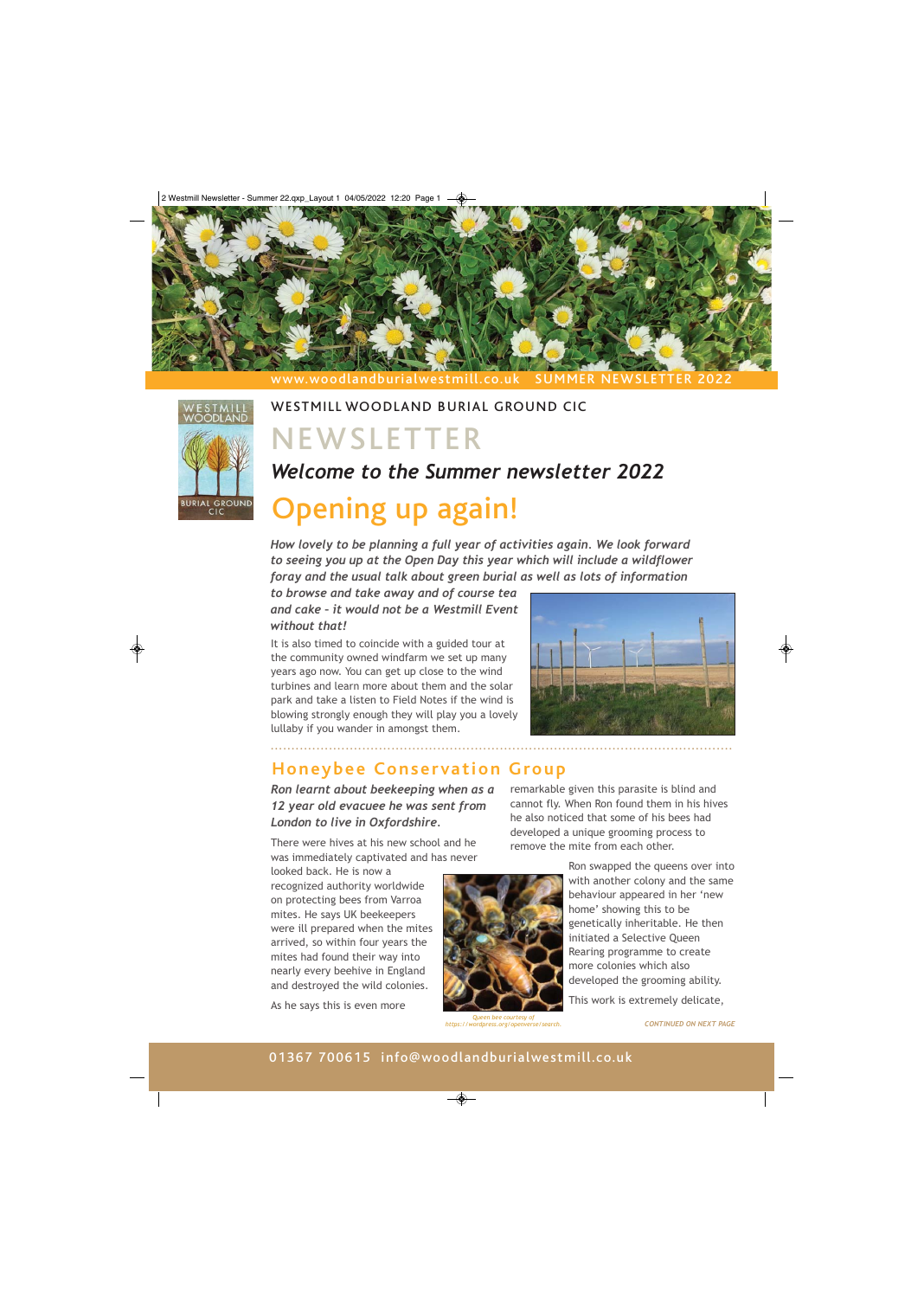



## WESTMILL WOODLAND BURIAL GROUND CIC

# NEWSLETTER

## *Welcome to the Summer newsletter 2022*

# Opening up again!

*How lovely to be planning a full year of activities again. We look forward to seeing you up at the Open Day this year which will include a wildflower foray and the usual talk about green burial as well as lots of information* 

*to browse and take away and of course tea and cake – it would not be a Westmill Event without that!* 

It is also timed to coincide with a guided tour at the community owned windfarm we set up many years ago now. You can get up close to the wind turbines and learn more about them and the solar park and take a listen to Field Notes if the wind is blowing strongly enough they will play you a lovely lullaby if you wander in amongst them.



## **Honeybee Conservation Group**

*Ron learnt about beekeeping when as a 12 year old evacuee he was sent from London to live in Oxfordshire.* 

There were hives at his new school and he was immediately captivated and has never

looked back. He is now a recognized authority worldwide on protecting bees from Varroa mites. He says UK beekeepers were ill prepared when the mites arrived, so within four years the mites had found their way into nearly every beehive in England and destroyed the wild colonies.

As he says this is even more

remarkable given this parasite is blind and cannot fly. When Ron found them in his hives he also noticed that some of his bees had developed a unique grooming process to remove the mite from each other.

> Ron swapped the queens over into with another colony and the same behaviour appeared in her 'new home' showing this to be genetically inheritable. He then initiated a Selective Queen Rearing programme to create more colonies which also developed the grooming ability.

This work is extremely delicate,

*Queen bee courtesy of https://wordpress.org/openverse/search.*

*CONTINUED ON NEXT PAGE*

### 01367 700615 info@woodlandburialwestmill.co.uk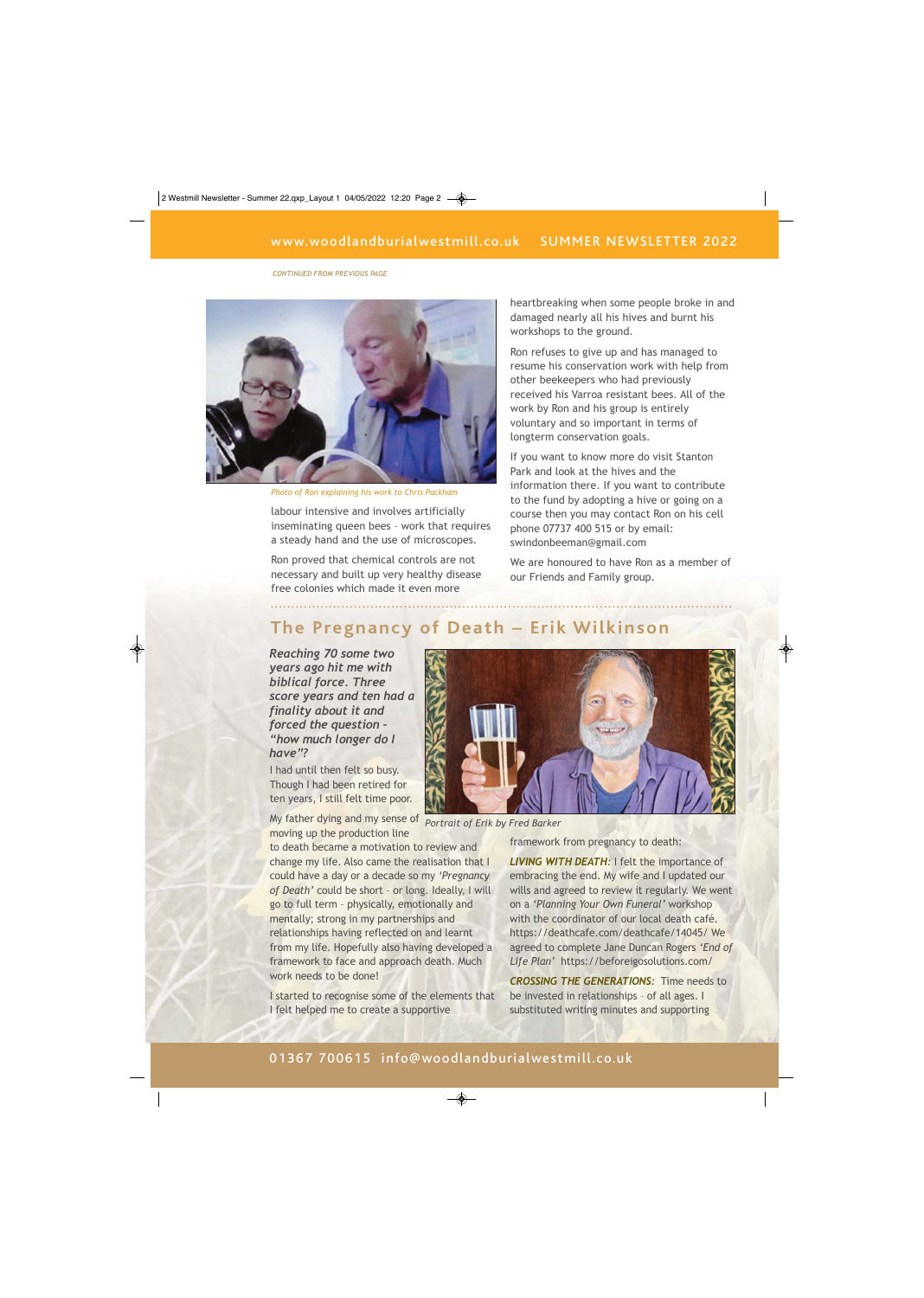*CONTINUED FROM PREVIOUS PAGE*



*Photo of Ron explaining his work to Chris Packham* 

labour intensive and involves artificially inseminating queen bees – work that requires a steady hand and the use of microscopes.

Ron proved that chemical controls are not necessary and built up very healthy disease free colonies which made it even more

heartbreaking when some people broke in and damaged nearly all his hives and burnt his workshops to the ground.

Ron refuses to give up and has managed to resume his conservation work with help from other beekeepers who had previously received his Varroa resistant bees. All of the work by Ron and his group is entirely voluntary and so important in terms of longterm conservation goals.

If you want to know more do visit Stanton Park and look at the hives and the information there. If you want to contribute to the fund by adopting a hive or going on a course then you may contact Ron on his cell phone 07737 400 515 or by email: swindonbeeman@gmail.com

We are honoured to have Ron as a member of our Friends and Family group.

### **The Pregnancy of Death – Erik Wilkinson**

...............................................................................................................

*Reaching 70 some two years ago hit me with biblical force. Three score years and ten had a finality about it and forced the question – "how much longer do I have"?* 

I had until then felt so busy. Though I had been retired for ten years, I still felt time poor.

My father dying and my sense of *Portrait of Erik by Fred Barker*  moving up the production line

to death became a motivation to review and change my life. Also came the realisation that I could have a day or a decade so my *'Pregnancy of Death'* could be short – or long. Ideally, I will go to full term – physically, emotionally and mentally; strong in my partnerships and relationships having reflected on and learnt from my life. Hopefully also having developed a framework to face and approach death. Much work needs to be done!

I started to recognise some of the elements that I felt helped me to create a supportive



framework from pregnancy to death:

*LIVING WITH DEATH:* I felt the importance of embracing the end. My wife and I updated our wills and agreed to review it regularly. We went on a *'Planning Your Own Funeral'* workshop with the coordinator of our local death café. https://deathcafe.com/deathcafe/14045/ We agreed to complete Jane Duncan Rogers *'End of Life Plan'* https://beforeigosolutions.com/

*CROSSING THE GENERATIONS:* Time needs to be invested in relationships – of all ages. I substituted writing minutes and supporting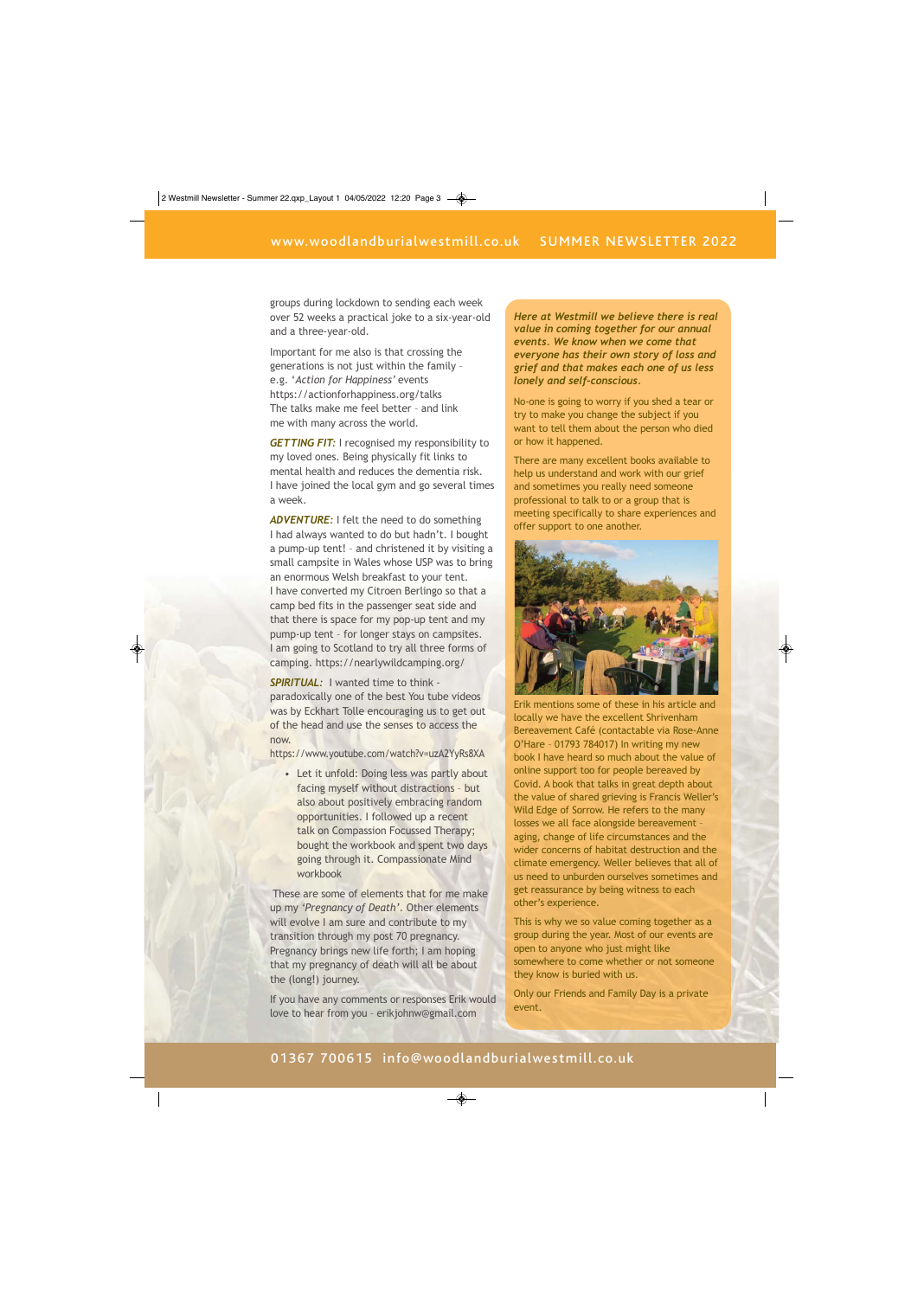groups during lockdown to sending each week over 52 weeks a practical joke to a six-year-old and a three-year-old.

Important for me also is that crossing the generations is not just within the family – e.g. '*Action for Happiness'* events https://actionforhappiness.org/talks The talks make me feel better – and link me with many across the world.

*GETTING FIT:* I recognised my responsibility to my loved ones. Being physically fit links to mental health and reduces the dementia risk. I have joined the local gym and go several times a week.

*ADVENTURE:* I felt the need to do something I had always wanted to do but hadn't. I bought a pump-up tent! – and christened it by visiting a small campsite in Wales whose USP was to bring an enormous Welsh breakfast to your tent. I have converted my Citroen Berlingo so that a camp bed fits in the passenger seat side and that there is space for my pop-up tent and my pump-up tent – for longer stays on campsites. I am going to Scotland to try all three forms of camping. https://nearlywildcamping.org/

*SPIRITUAL:* I wanted time to think paradoxically one of the best You tube videos was by Eckhart Tolle encouraging us to get out of the head and use the senses to access the now.

https://www.youtube.com/watch?v=uzA2YyRs8XA

• Let it unfold: Doing less was partly about facing myself without distractions – but also about positively embracing random opportunities. I followed up a recent talk on Compassion Focussed Therapy; bought the workbook and spent two days going through it. Compassionate Mind workbook

 These are some of elements that for me make up my *'Pregnancy of Death'*. Other elements will evolve I am sure and contribute to my transition through my post 70 pregnancy. Pregnancy brings new life forth; I am hoping that my pregnancy of death will all be about the (long!) journey.

If you have any comments or responses Erik would love to hear from you – erikjohnw@gmail.com

*Here at Westmill we believe there is real value in coming together for our annual events. We know when we come that everyone has their own story of loss and grief and that makes each one of us less lonely and self-conscious.* 

No-one is going to worry if you shed a tear or try to make you change the subject if you want to tell them about the person who died or how it happened.

There are many excellent books available to help us understand and work with our grief and sometimes you really need someone professional to talk to or a group that is meeting specifically to share experiences and offer support to one another.



Erik mentions some of these in his article and locally we have the excellent Shrivenham Bereavement Café (contactable via Rose-Anne O'Hare – 01793 784017) In writing my new book I have heard so much about the value of online support too for people bereaved by Covid. A book that talks in great depth about the value of shared grieving is Francis Weller's Wild Edge of Sorrow. He refers to the many losses we all face alongside bereavement – aging, change of life circumstances and the wider concerns of habitat destruction and the climate emergency. Weller believes that all of us need to unburden ourselves sometimes and get reassurance by being witness to each other's experience.

This is why we so value coming together as a group during the year. Most of our events are open to anyone who just might like somewhere to come whether or not someone they know is buried with us.

Only our Friends and Family Day is a private event.

### 01367 700615 info@woodlandburialwestmill.co.uk